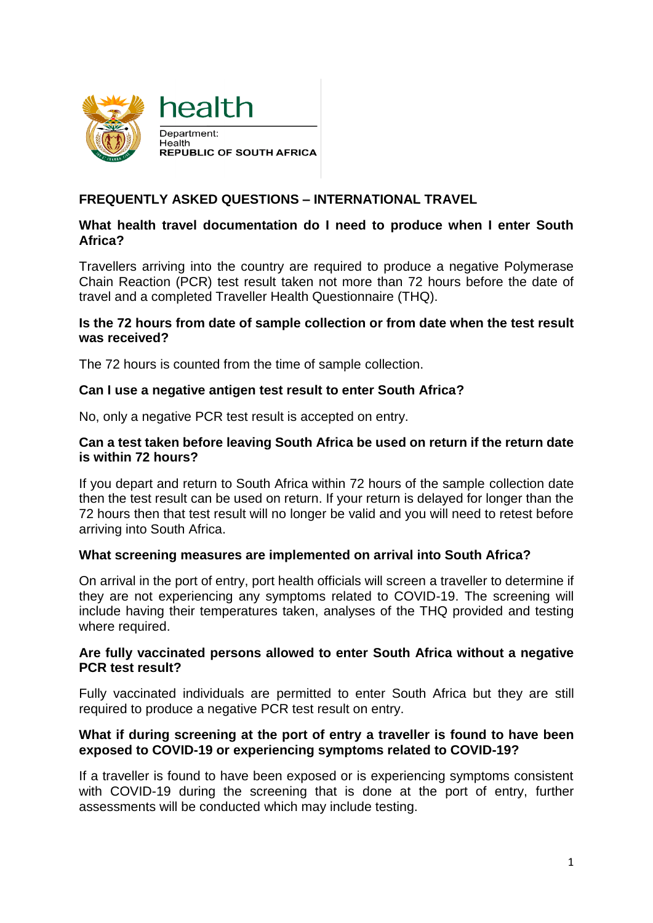



# **FREQUENTLY ASKED QUESTIONS – INTERNATIONAL TRAVEL**

# **What health travel documentation do I need to produce when I enter South Africa?**

Travellers arriving into the country are required to produce a negative Polymerase Chain Reaction (PCR) test result taken not more than 72 hours before the date of travel and a completed Traveller Health Questionnaire (THQ).

## **Is the 72 hours from date of sample collection or from date when the test result was received?**

The 72 hours is counted from the time of sample collection.

## **Can I use a negative antigen test result to enter South Africa?**

No, only a negative PCR test result is accepted on entry.

#### **Can a test taken before leaving South Africa be used on return if the return date is within 72 hours?**

If you depart and return to South Africa within 72 hours of the sample collection date then the test result can be used on return. If your return is delayed for longer than the 72 hours then that test result will no longer be valid and you will need to retest before arriving into South Africa.

## **What screening measures are implemented on arrival into South Africa?**

On arrival in the port of entry, port health officials will screen a traveller to determine if they are not experiencing any symptoms related to COVID-19. The screening will include having their temperatures taken, analyses of the THQ provided and testing where required.

#### **Are fully vaccinated persons allowed to enter South Africa without a negative PCR test result?**

Fully vaccinated individuals are permitted to enter South Africa but they are still required to produce a negative PCR test result on entry.

#### **What if during screening at the port of entry a traveller is found to have been exposed to COVID-19 or experiencing symptoms related to COVID-19?**

If a traveller is found to have been exposed or is experiencing symptoms consistent with COVID-19 during the screening that is done at the port of entry, further assessments will be conducted which may include testing.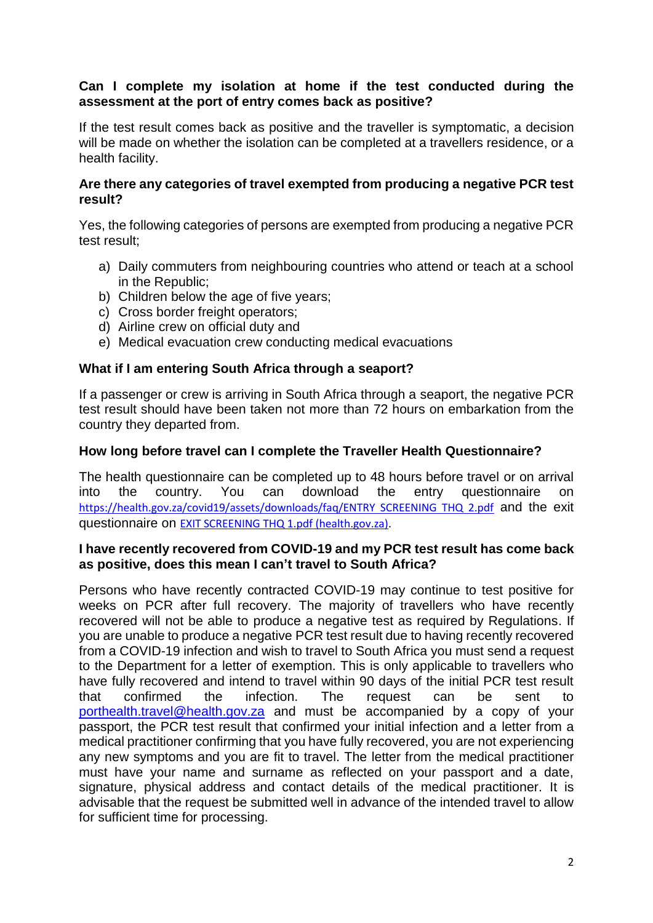## **Can I complete my isolation at home if the test conducted during the assessment at the port of entry comes back as positive?**

If the test result comes back as positive and the traveller is symptomatic, a decision will be made on whether the isolation can be completed at a travellers residence, or a health facility.

#### **Are there any categories of travel exempted from producing a negative PCR test result?**

Yes, the following categories of persons are exempted from producing a negative PCR test result;

- a) Daily commuters from neighbouring countries who attend or teach at a school in the Republic;
- b) Children below the age of five years;
- c) Cross border freight operators;
- d) Airline crew on official duty and
- e) Medical evacuation crew conducting medical evacuations

#### **What if I am entering South Africa through a seaport?**

If a passenger or crew is arriving in South Africa through a seaport, the negative PCR test result should have been taken not more than 72 hours on embarkation from the country they departed from.

#### **How long before travel can I complete the Traveller Health Questionnaire?**

The health questionnaire can be completed up to 48 hours before travel or on arrival into the country. You can download the entry questionnaire on [https://health.gov.za/covid19/assets/downloads/faq/ENTRY SCREENING THQ 2.pdf](https://health.gov.za/covid19/assets/downloads/faq/ENTRY%20SCREENING%20THQ%202.pdf) and the exit questionnaire on [EXIT SCREENING THQ 1.pdf \(health.gov.za\).](https://health.gov.za/covid19/assets/downloads/faq/EXIT%20%20SCREENING%20THQ%201.pdf)

#### **I have recently recovered from COVID-19 and my PCR test result has come back as positive, does this mean I can't travel to South Africa?**

Persons who have recently contracted COVID-19 may continue to test positive for weeks on PCR after full recovery. The majority of travellers who have recently recovered will not be able to produce a negative test as required by Regulations. If you are unable to produce a negative PCR test result due to having recently recovered from a COVID-19 infection and wish to travel to South Africa you must send a request to the Department for a letter of exemption. This is only applicable to travellers who have fully recovered and intend to travel within 90 days of the initial PCR test result that confirmed the infection. The request can be sent to [porthealth.travel@health.gov.za](mailto:porthealth.travel@health.gov.za) and must be accompanied by a copy of your passport, the PCR test result that confirmed your initial infection and a letter from a medical practitioner confirming that you have fully recovered, you are not experiencing any new symptoms and you are fit to travel. The letter from the medical practitioner must have your name and surname as reflected on your passport and a date, signature, physical address and contact details of the medical practitioner. It is advisable that the request be submitted well in advance of the intended travel to allow for sufficient time for processing.